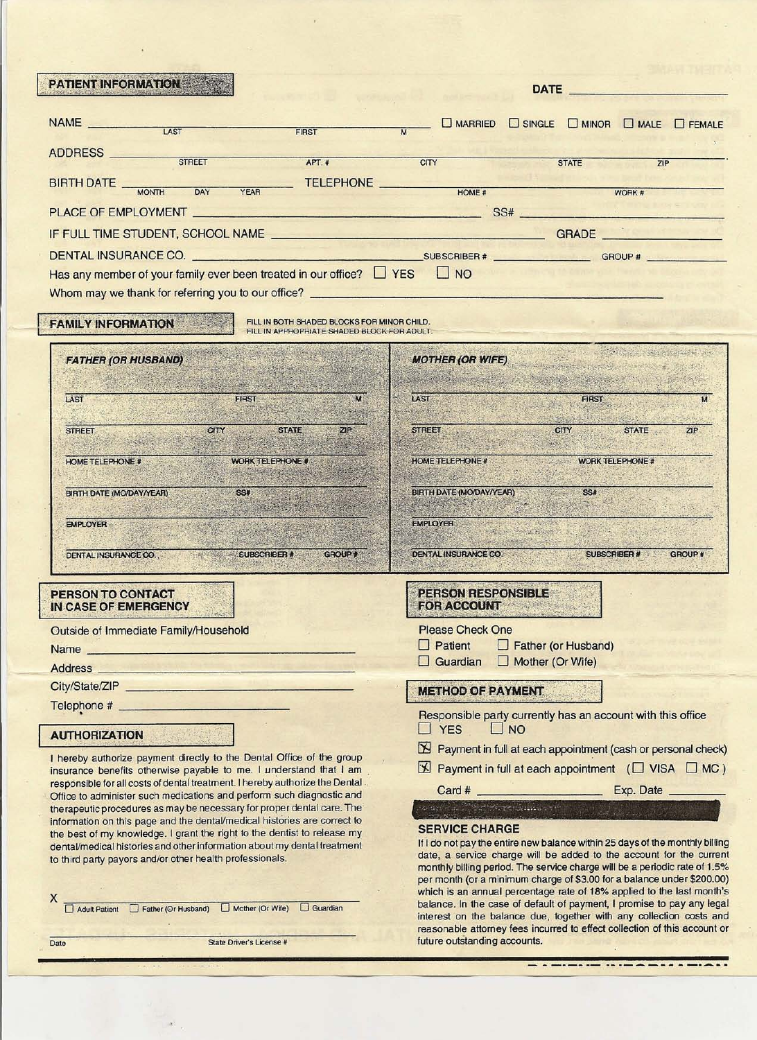| FIRST<br>ADDRESS STREET<br><b>CITY</b><br>APT.#<br><b>STATE</b><br>7IP<br><b>TELEPHONE</b><br>BIRTH DATE MONTH DAY<br><b>YEAR</b><br>HOME #<br>WORK #<br>DENTAL INSURANCE CO.<br>Has any member of your family ever been treated in our office? $\Box$ YES $\Box$ NO<br>FILL IN BOTH SHADED BLOCKS FOR MINOR CHILD.<br><b>FAMILY INFORMATION</b><br>FILL IN APPROPRIATE SHADED BLOCK FOR ADULT.<br><b>MOTHER (OR WIFE)</b><br><b>FATHER (OR HUSBAND)</b><br>FIRST<br>LAST<br><b>FIRST</b><br>LAST<br><b>CITY</b><br>STATE<br>71P<br><b>STREET</b><br>STATE<br><b>CITY</b><br>ZIP.<br><b>STREET</b><br>WORK TELEPHONE #<br><b>HOME TELEPHONE #</b><br>WORK TELEPHONE<br><b>HOME TELEPHONE #</b><br>SS#<br>BIRTH DATE (MO/DAY/YEAR)<br>BIRTH DATE (MO/DAY/YEAR) SS#<br>hardware from the most policy<br><b>EMPLOYER</b><br>EMPLOYER<br>Contractors of the fight<br>SUBSCRIBER #<br>SUBSCRIBER # GROUP #<br><b>DENTAL INSURANCE CO.</b><br>DENTAL INSURANCE CO.<br><b>PERSON RESPONSIBLE</b><br>PERSON TO CONTACT<br><b>FOR ACCOUNT AND RESIDENT</b><br>IN CASE OF EMERGENCY<br><b>Please Check One</b><br>Outside of Immediate Family/Household<br>$\Box$ Patient<br>$\Box$ Father (or Husband)<br>Name and the state of the state of the state of the state of the state of the state of the state of the state of the state of the state of the state of the state of the state of the state of the state of the state of the s<br>$\Box$ Mother (Or Wife)<br>$\Box$ Guardian<br>Address <b>Executive Contract Contract Contract Contract Contract Contract Contract Contract Contract Contract Contract Contract Contract Contract Contract Contract Contract Contract Contract Contract Contract Contract Contr</b><br>City/State/ZIP<br><b>METHOD OF PAYMENT</b><br>Responsible party currently has an account with this office<br><b>TYES</b><br>$\Box$ NO<br><b>AUTHORIZATION</b><br>I hereby authorize payment directly to the Dental Office of the group<br>insurance benefits otherwise payable to me. I understand that I am<br>responsible for all costs of dental treatment. I hereby authorize the Dental.<br>Office to administer such medications and perform such diagnostic and<br>therapeutic procedures as may be necessary for proper dental care. The<br>information on this page and the dental/medical histories are correct to<br><b>SERVICE CHARGE</b><br>the best of my knowledge. I grant the right to the dentist to release my<br>dental/medical histories and other information about my dental treatment<br>date, a service charge will be added to the account for the current<br>to third party payors and/or other health professionals.<br>per month (or a minimum charge of \$3.00 for a balance under \$200.00)<br>X<br>Adult Patient Father (Or Husband) Mother (Or Wife) Guardian<br>reasonable attorney fees incurred to effect collection of this account or<br>future outstanding accounts.<br><b>State Driver's License #</b><br>Date | <b>PATIENT INFORMATION</b> | <b>DATE</b>                                                                                                                                   |
|---------------------------------------------------------------------------------------------------------------------------------------------------------------------------------------------------------------------------------------------------------------------------------------------------------------------------------------------------------------------------------------------------------------------------------------------------------------------------------------------------------------------------------------------------------------------------------------------------------------------------------------------------------------------------------------------------------------------------------------------------------------------------------------------------------------------------------------------------------------------------------------------------------------------------------------------------------------------------------------------------------------------------------------------------------------------------------------------------------------------------------------------------------------------------------------------------------------------------------------------------------------------------------------------------------------------------------------------------------------------------------------------------------------------------------------------------------------------------------------------------------------------------------------------------------------------------------------------------------------------------------------------------------------------------------------------------------------------------------------------------------------------------------------------------------------------------------------------------------------------------------------------------------------------------------------------------------------------------------------------------------------------------------------------------------------------------------------------------------------------------------------------------------------------------------------------------------------------------------------------------------------------------------------------------------------------------------------------------------------------------------------------------------------------------------------------------------------------------------------------------------------------------------------------------------------------------------------------------------------------------------------------------------------------------------------------------------------------------------------------------------------------------------------------------------------------------------------------------------------------------------------------------------------------------------------------------------------------------------|----------------------------|-----------------------------------------------------------------------------------------------------------------------------------------------|
|                                                                                                                                                                                                                                                                                                                                                                                                                                                                                                                                                                                                                                                                                                                                                                                                                                                                                                                                                                                                                                                                                                                                                                                                                                                                                                                                                                                                                                                                                                                                                                                                                                                                                                                                                                                                                                                                                                                                                                                                                                                                                                                                                                                                                                                                                                                                                                                                                                                                                                                                                                                                                                                                                                                                                                                                                                                                                                                                                                                 |                            | D MARRIED D SINGLE D MINOR D MALE D FEMALE                                                                                                    |
|                                                                                                                                                                                                                                                                                                                                                                                                                                                                                                                                                                                                                                                                                                                                                                                                                                                                                                                                                                                                                                                                                                                                                                                                                                                                                                                                                                                                                                                                                                                                                                                                                                                                                                                                                                                                                                                                                                                                                                                                                                                                                                                                                                                                                                                                                                                                                                                                                                                                                                                                                                                                                                                                                                                                                                                                                                                                                                                                                                                 |                            |                                                                                                                                               |
|                                                                                                                                                                                                                                                                                                                                                                                                                                                                                                                                                                                                                                                                                                                                                                                                                                                                                                                                                                                                                                                                                                                                                                                                                                                                                                                                                                                                                                                                                                                                                                                                                                                                                                                                                                                                                                                                                                                                                                                                                                                                                                                                                                                                                                                                                                                                                                                                                                                                                                                                                                                                                                                                                                                                                                                                                                                                                                                                                                                 |                            |                                                                                                                                               |
|                                                                                                                                                                                                                                                                                                                                                                                                                                                                                                                                                                                                                                                                                                                                                                                                                                                                                                                                                                                                                                                                                                                                                                                                                                                                                                                                                                                                                                                                                                                                                                                                                                                                                                                                                                                                                                                                                                                                                                                                                                                                                                                                                                                                                                                                                                                                                                                                                                                                                                                                                                                                                                                                                                                                                                                                                                                                                                                                                                                 |                            |                                                                                                                                               |
|                                                                                                                                                                                                                                                                                                                                                                                                                                                                                                                                                                                                                                                                                                                                                                                                                                                                                                                                                                                                                                                                                                                                                                                                                                                                                                                                                                                                                                                                                                                                                                                                                                                                                                                                                                                                                                                                                                                                                                                                                                                                                                                                                                                                                                                                                                                                                                                                                                                                                                                                                                                                                                                                                                                                                                                                                                                                                                                                                                                 |                            |                                                                                                                                               |
|                                                                                                                                                                                                                                                                                                                                                                                                                                                                                                                                                                                                                                                                                                                                                                                                                                                                                                                                                                                                                                                                                                                                                                                                                                                                                                                                                                                                                                                                                                                                                                                                                                                                                                                                                                                                                                                                                                                                                                                                                                                                                                                                                                                                                                                                                                                                                                                                                                                                                                                                                                                                                                                                                                                                                                                                                                                                                                                                                                                 |                            |                                                                                                                                               |
|                                                                                                                                                                                                                                                                                                                                                                                                                                                                                                                                                                                                                                                                                                                                                                                                                                                                                                                                                                                                                                                                                                                                                                                                                                                                                                                                                                                                                                                                                                                                                                                                                                                                                                                                                                                                                                                                                                                                                                                                                                                                                                                                                                                                                                                                                                                                                                                                                                                                                                                                                                                                                                                                                                                                                                                                                                                                                                                                                                                 |                            |                                                                                                                                               |
|                                                                                                                                                                                                                                                                                                                                                                                                                                                                                                                                                                                                                                                                                                                                                                                                                                                                                                                                                                                                                                                                                                                                                                                                                                                                                                                                                                                                                                                                                                                                                                                                                                                                                                                                                                                                                                                                                                                                                                                                                                                                                                                                                                                                                                                                                                                                                                                                                                                                                                                                                                                                                                                                                                                                                                                                                                                                                                                                                                                 |                            |                                                                                                                                               |
|                                                                                                                                                                                                                                                                                                                                                                                                                                                                                                                                                                                                                                                                                                                                                                                                                                                                                                                                                                                                                                                                                                                                                                                                                                                                                                                                                                                                                                                                                                                                                                                                                                                                                                                                                                                                                                                                                                                                                                                                                                                                                                                                                                                                                                                                                                                                                                                                                                                                                                                                                                                                                                                                                                                                                                                                                                                                                                                                                                                 |                            |                                                                                                                                               |
|                                                                                                                                                                                                                                                                                                                                                                                                                                                                                                                                                                                                                                                                                                                                                                                                                                                                                                                                                                                                                                                                                                                                                                                                                                                                                                                                                                                                                                                                                                                                                                                                                                                                                                                                                                                                                                                                                                                                                                                                                                                                                                                                                                                                                                                                                                                                                                                                                                                                                                                                                                                                                                                                                                                                                                                                                                                                                                                                                                                 |                            |                                                                                                                                               |
|                                                                                                                                                                                                                                                                                                                                                                                                                                                                                                                                                                                                                                                                                                                                                                                                                                                                                                                                                                                                                                                                                                                                                                                                                                                                                                                                                                                                                                                                                                                                                                                                                                                                                                                                                                                                                                                                                                                                                                                                                                                                                                                                                                                                                                                                                                                                                                                                                                                                                                                                                                                                                                                                                                                                                                                                                                                                                                                                                                                 |                            |                                                                                                                                               |
|                                                                                                                                                                                                                                                                                                                                                                                                                                                                                                                                                                                                                                                                                                                                                                                                                                                                                                                                                                                                                                                                                                                                                                                                                                                                                                                                                                                                                                                                                                                                                                                                                                                                                                                                                                                                                                                                                                                                                                                                                                                                                                                                                                                                                                                                                                                                                                                                                                                                                                                                                                                                                                                                                                                                                                                                                                                                                                                                                                                 |                            |                                                                                                                                               |
|                                                                                                                                                                                                                                                                                                                                                                                                                                                                                                                                                                                                                                                                                                                                                                                                                                                                                                                                                                                                                                                                                                                                                                                                                                                                                                                                                                                                                                                                                                                                                                                                                                                                                                                                                                                                                                                                                                                                                                                                                                                                                                                                                                                                                                                                                                                                                                                                                                                                                                                                                                                                                                                                                                                                                                                                                                                                                                                                                                                 |                            |                                                                                                                                               |
|                                                                                                                                                                                                                                                                                                                                                                                                                                                                                                                                                                                                                                                                                                                                                                                                                                                                                                                                                                                                                                                                                                                                                                                                                                                                                                                                                                                                                                                                                                                                                                                                                                                                                                                                                                                                                                                                                                                                                                                                                                                                                                                                                                                                                                                                                                                                                                                                                                                                                                                                                                                                                                                                                                                                                                                                                                                                                                                                                                                 |                            |                                                                                                                                               |
|                                                                                                                                                                                                                                                                                                                                                                                                                                                                                                                                                                                                                                                                                                                                                                                                                                                                                                                                                                                                                                                                                                                                                                                                                                                                                                                                                                                                                                                                                                                                                                                                                                                                                                                                                                                                                                                                                                                                                                                                                                                                                                                                                                                                                                                                                                                                                                                                                                                                                                                                                                                                                                                                                                                                                                                                                                                                                                                                                                                 |                            |                                                                                                                                               |
|                                                                                                                                                                                                                                                                                                                                                                                                                                                                                                                                                                                                                                                                                                                                                                                                                                                                                                                                                                                                                                                                                                                                                                                                                                                                                                                                                                                                                                                                                                                                                                                                                                                                                                                                                                                                                                                                                                                                                                                                                                                                                                                                                                                                                                                                                                                                                                                                                                                                                                                                                                                                                                                                                                                                                                                                                                                                                                                                                                                 |                            |                                                                                                                                               |
|                                                                                                                                                                                                                                                                                                                                                                                                                                                                                                                                                                                                                                                                                                                                                                                                                                                                                                                                                                                                                                                                                                                                                                                                                                                                                                                                                                                                                                                                                                                                                                                                                                                                                                                                                                                                                                                                                                                                                                                                                                                                                                                                                                                                                                                                                                                                                                                                                                                                                                                                                                                                                                                                                                                                                                                                                                                                                                                                                                                 |                            |                                                                                                                                               |
|                                                                                                                                                                                                                                                                                                                                                                                                                                                                                                                                                                                                                                                                                                                                                                                                                                                                                                                                                                                                                                                                                                                                                                                                                                                                                                                                                                                                                                                                                                                                                                                                                                                                                                                                                                                                                                                                                                                                                                                                                                                                                                                                                                                                                                                                                                                                                                                                                                                                                                                                                                                                                                                                                                                                                                                                                                                                                                                                                                                 |                            |                                                                                                                                               |
|                                                                                                                                                                                                                                                                                                                                                                                                                                                                                                                                                                                                                                                                                                                                                                                                                                                                                                                                                                                                                                                                                                                                                                                                                                                                                                                                                                                                                                                                                                                                                                                                                                                                                                                                                                                                                                                                                                                                                                                                                                                                                                                                                                                                                                                                                                                                                                                                                                                                                                                                                                                                                                                                                                                                                                                                                                                                                                                                                                                 |                            |                                                                                                                                               |
|                                                                                                                                                                                                                                                                                                                                                                                                                                                                                                                                                                                                                                                                                                                                                                                                                                                                                                                                                                                                                                                                                                                                                                                                                                                                                                                                                                                                                                                                                                                                                                                                                                                                                                                                                                                                                                                                                                                                                                                                                                                                                                                                                                                                                                                                                                                                                                                                                                                                                                                                                                                                                                                                                                                                                                                                                                                                                                                                                                                 |                            | GROUP #                                                                                                                                       |
|                                                                                                                                                                                                                                                                                                                                                                                                                                                                                                                                                                                                                                                                                                                                                                                                                                                                                                                                                                                                                                                                                                                                                                                                                                                                                                                                                                                                                                                                                                                                                                                                                                                                                                                                                                                                                                                                                                                                                                                                                                                                                                                                                                                                                                                                                                                                                                                                                                                                                                                                                                                                                                                                                                                                                                                                                                                                                                                                                                                 |                            |                                                                                                                                               |
|                                                                                                                                                                                                                                                                                                                                                                                                                                                                                                                                                                                                                                                                                                                                                                                                                                                                                                                                                                                                                                                                                                                                                                                                                                                                                                                                                                                                                                                                                                                                                                                                                                                                                                                                                                                                                                                                                                                                                                                                                                                                                                                                                                                                                                                                                                                                                                                                                                                                                                                                                                                                                                                                                                                                                                                                                                                                                                                                                                                 |                            |                                                                                                                                               |
|                                                                                                                                                                                                                                                                                                                                                                                                                                                                                                                                                                                                                                                                                                                                                                                                                                                                                                                                                                                                                                                                                                                                                                                                                                                                                                                                                                                                                                                                                                                                                                                                                                                                                                                                                                                                                                                                                                                                                                                                                                                                                                                                                                                                                                                                                                                                                                                                                                                                                                                                                                                                                                                                                                                                                                                                                                                                                                                                                                                 |                            |                                                                                                                                               |
|                                                                                                                                                                                                                                                                                                                                                                                                                                                                                                                                                                                                                                                                                                                                                                                                                                                                                                                                                                                                                                                                                                                                                                                                                                                                                                                                                                                                                                                                                                                                                                                                                                                                                                                                                                                                                                                                                                                                                                                                                                                                                                                                                                                                                                                                                                                                                                                                                                                                                                                                                                                                                                                                                                                                                                                                                                                                                                                                                                                 |                            |                                                                                                                                               |
|                                                                                                                                                                                                                                                                                                                                                                                                                                                                                                                                                                                                                                                                                                                                                                                                                                                                                                                                                                                                                                                                                                                                                                                                                                                                                                                                                                                                                                                                                                                                                                                                                                                                                                                                                                                                                                                                                                                                                                                                                                                                                                                                                                                                                                                                                                                                                                                                                                                                                                                                                                                                                                                                                                                                                                                                                                                                                                                                                                                 |                            |                                                                                                                                               |
|                                                                                                                                                                                                                                                                                                                                                                                                                                                                                                                                                                                                                                                                                                                                                                                                                                                                                                                                                                                                                                                                                                                                                                                                                                                                                                                                                                                                                                                                                                                                                                                                                                                                                                                                                                                                                                                                                                                                                                                                                                                                                                                                                                                                                                                                                                                                                                                                                                                                                                                                                                                                                                                                                                                                                                                                                                                                                                                                                                                 |                            |                                                                                                                                               |
|                                                                                                                                                                                                                                                                                                                                                                                                                                                                                                                                                                                                                                                                                                                                                                                                                                                                                                                                                                                                                                                                                                                                                                                                                                                                                                                                                                                                                                                                                                                                                                                                                                                                                                                                                                                                                                                                                                                                                                                                                                                                                                                                                                                                                                                                                                                                                                                                                                                                                                                                                                                                                                                                                                                                                                                                                                                                                                                                                                                 |                            |                                                                                                                                               |
|                                                                                                                                                                                                                                                                                                                                                                                                                                                                                                                                                                                                                                                                                                                                                                                                                                                                                                                                                                                                                                                                                                                                                                                                                                                                                                                                                                                                                                                                                                                                                                                                                                                                                                                                                                                                                                                                                                                                                                                                                                                                                                                                                                                                                                                                                                                                                                                                                                                                                                                                                                                                                                                                                                                                                                                                                                                                                                                                                                                 |                            |                                                                                                                                               |
|                                                                                                                                                                                                                                                                                                                                                                                                                                                                                                                                                                                                                                                                                                                                                                                                                                                                                                                                                                                                                                                                                                                                                                                                                                                                                                                                                                                                                                                                                                                                                                                                                                                                                                                                                                                                                                                                                                                                                                                                                                                                                                                                                                                                                                                                                                                                                                                                                                                                                                                                                                                                                                                                                                                                                                                                                                                                                                                                                                                 |                            | $\mathbb N$ Payment in full at each appointment (cash or personal check)                                                                      |
|                                                                                                                                                                                                                                                                                                                                                                                                                                                                                                                                                                                                                                                                                                                                                                                                                                                                                                                                                                                                                                                                                                                                                                                                                                                                                                                                                                                                                                                                                                                                                                                                                                                                                                                                                                                                                                                                                                                                                                                                                                                                                                                                                                                                                                                                                                                                                                                                                                                                                                                                                                                                                                                                                                                                                                                                                                                                                                                                                                                 |                            | $\mathbb Z$ Payment in full at each appointment ( $\Box$ VISA $\Box$ MC)                                                                      |
|                                                                                                                                                                                                                                                                                                                                                                                                                                                                                                                                                                                                                                                                                                                                                                                                                                                                                                                                                                                                                                                                                                                                                                                                                                                                                                                                                                                                                                                                                                                                                                                                                                                                                                                                                                                                                                                                                                                                                                                                                                                                                                                                                                                                                                                                                                                                                                                                                                                                                                                                                                                                                                                                                                                                                                                                                                                                                                                                                                                 |                            |                                                                                                                                               |
|                                                                                                                                                                                                                                                                                                                                                                                                                                                                                                                                                                                                                                                                                                                                                                                                                                                                                                                                                                                                                                                                                                                                                                                                                                                                                                                                                                                                                                                                                                                                                                                                                                                                                                                                                                                                                                                                                                                                                                                                                                                                                                                                                                                                                                                                                                                                                                                                                                                                                                                                                                                                                                                                                                                                                                                                                                                                                                                                                                                 |                            |                                                                                                                                               |
|                                                                                                                                                                                                                                                                                                                                                                                                                                                                                                                                                                                                                                                                                                                                                                                                                                                                                                                                                                                                                                                                                                                                                                                                                                                                                                                                                                                                                                                                                                                                                                                                                                                                                                                                                                                                                                                                                                                                                                                                                                                                                                                                                                                                                                                                                                                                                                                                                                                                                                                                                                                                                                                                                                                                                                                                                                                                                                                                                                                 |                            |                                                                                                                                               |
|                                                                                                                                                                                                                                                                                                                                                                                                                                                                                                                                                                                                                                                                                                                                                                                                                                                                                                                                                                                                                                                                                                                                                                                                                                                                                                                                                                                                                                                                                                                                                                                                                                                                                                                                                                                                                                                                                                                                                                                                                                                                                                                                                                                                                                                                                                                                                                                                                                                                                                                                                                                                                                                                                                                                                                                                                                                                                                                                                                                 |                            | If I do not pay the entire new balance within 25 days of the monthly billing                                                                  |
|                                                                                                                                                                                                                                                                                                                                                                                                                                                                                                                                                                                                                                                                                                                                                                                                                                                                                                                                                                                                                                                                                                                                                                                                                                                                                                                                                                                                                                                                                                                                                                                                                                                                                                                                                                                                                                                                                                                                                                                                                                                                                                                                                                                                                                                                                                                                                                                                                                                                                                                                                                                                                                                                                                                                                                                                                                                                                                                                                                                 |                            | monthly billing period. The service charge will be a periodic rate of 1.5%                                                                    |
|                                                                                                                                                                                                                                                                                                                                                                                                                                                                                                                                                                                                                                                                                                                                                                                                                                                                                                                                                                                                                                                                                                                                                                                                                                                                                                                                                                                                                                                                                                                                                                                                                                                                                                                                                                                                                                                                                                                                                                                                                                                                                                                                                                                                                                                                                                                                                                                                                                                                                                                                                                                                                                                                                                                                                                                                                                                                                                                                                                                 |                            | which is an annual percentage rate of 18% applied to the last month's                                                                         |
|                                                                                                                                                                                                                                                                                                                                                                                                                                                                                                                                                                                                                                                                                                                                                                                                                                                                                                                                                                                                                                                                                                                                                                                                                                                                                                                                                                                                                                                                                                                                                                                                                                                                                                                                                                                                                                                                                                                                                                                                                                                                                                                                                                                                                                                                                                                                                                                                                                                                                                                                                                                                                                                                                                                                                                                                                                                                                                                                                                                 |                            | balance. In the case of default of payment, I promise to pay any legal<br>interest on the balance due, together with any collection costs and |
|                                                                                                                                                                                                                                                                                                                                                                                                                                                                                                                                                                                                                                                                                                                                                                                                                                                                                                                                                                                                                                                                                                                                                                                                                                                                                                                                                                                                                                                                                                                                                                                                                                                                                                                                                                                                                                                                                                                                                                                                                                                                                                                                                                                                                                                                                                                                                                                                                                                                                                                                                                                                                                                                                                                                                                                                                                                                                                                                                                                 |                            |                                                                                                                                               |

 $\epsilon$  .